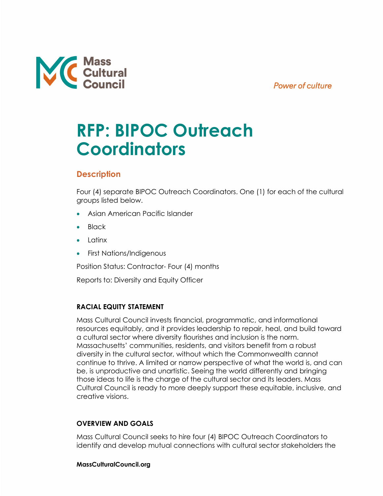## **Power of culture**



# **RFP: BIPOC Outreach Coordinators**

# **Description**

Four (4) separate BIPOC Outreach Coordinators. One (1) for each of the cultural groups listed below.

- Asian American Pacific Islander
- Black
- Latinx
- First Nations/Indigenous

Position Status: Contractor- Four (4) months

Reports to: Diversity and Equity Officer

## **RACIAL EQUITY STATEMENT**

Mass Cultural Council invests financial, programmatic, and informational resources equitably, and it provides leadership to repair, heal, and build toward a cultural sector where diversity flourishes and inclusion is the norm. Massachusetts' communities, residents, and visitors benefit from a robust diversity in the cultural sector, without which the Commonwealth cannot continue to thrive. A limited or narrow perspective of what the world is, and can be, is unproductive and unartistic. Seeing the world differently and bringing those ideas to life is the charge of the cultural sector and its leaders. Mass Cultural Council is ready to more deeply support these equitable, inclusive, and creative visions.

## **OVERVIEW AND GOALS**

Mass Cultural Council seeks to hire four (4) BIPOC Outreach Coordinators to identify and develop mutual connections with cultural sector stakeholders the

## **MassCulturalCouncil.org**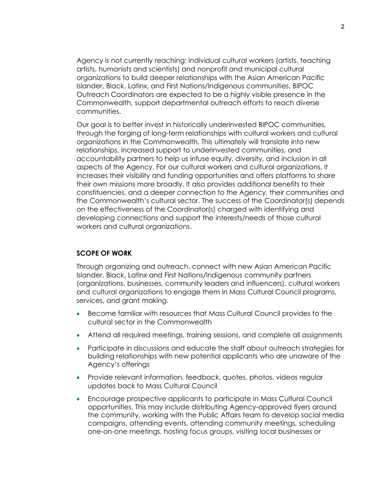Agency is not currently reaching: individual cultural workers (artists, teaching artists, humanists and scientists) and nonprofit and municipal cultural organizations to build deeper relationships with the Asian American Pacific Islander, Black, Latinx, and First Nations/Indigenous communities. BIPOC Outreach Coordinators are expected to be a highly visible presence in the Commonwealth, support departmental outreach efforts to reach diverse communities.

Our goal is to better invest in historically underinvested BIPOC communities, through the forging of long-term relationships with cultural workers and cultural organizations in the Commonwealth. This ultimately will translate into new relationships, increased support to underinvested communities, and accountability partners to help us infuse equity, diversity, and inclusion in all aspects of the Agency. For our cultural workers and cultural organizations, it increases their visibility and funding opportunities and offers platforms to share their own missions more broadly. It also provides additional benefits to their constituencies, and a deeper connection to the Agency, their communities and the Commonwealth's cultural sector. The success of the Coordinator(s) depends on the effectiveness of the Coordinator(s) charged with identifying and developing connections and support the interests/needs of those cultural workers and cultural organizations.

#### **SCOPE OF WORK**

Through organizing and outreach, connect with new Asian American Pacific Islander, Black, Latinx and First Nations/Indigenous community partners (organizations, businesses, community leaders and influencers), cultural workers and cultural organizations to engage them in Mass Cultural Council programs, services, and grant making.

- Become familiar with resources that Mass Cultural Council provides to the cultural sector in the Commonwealth
- Attend all required meetings, training sessions, and complete all assignments
- Participate in discussions and educate the staff about outreach strategies for building relationships with new potential applicants who are unaware of the Agency's offerings
- Provide relevant information, feedback, quotes, photos, videos regular updates back to Mass Cultural Council
- Encourage prospective applicants to participate in Mass Cultural Council opportunities. This may include distributing Agency-approved flyers around the community, working with the Public Affairs team to develop social media campaigns, attending events, attending community meetings, scheduling one-on-one meetings, hosting focus groups, visiting local businesses or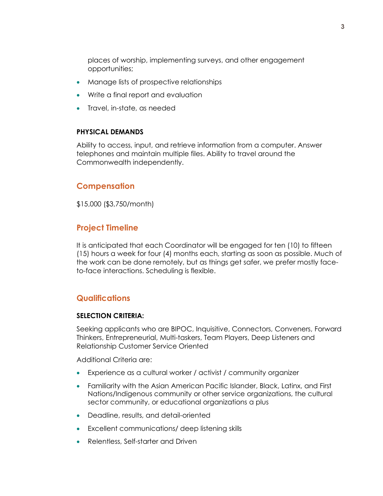places of worship, implementing surveys, and other engagement opportunities;

- Manage lists of prospective relationships
- Write a final report and evaluation
- Travel, in-state, as needed

#### **PHYSICAL DEMANDS**

Ability to access, input, and retrieve information from a computer. Answer telephones and maintain multiple files. Ability to travel around the Commonwealth independently.

#### **Compensation**

\$15,000 (\$3,750/month)

### **Project Timeline**

It is anticipated that each Coordinator will be engaged for ten (10) to fifteen (15) hours a week for four (4) months each, starting as soon as possible. Much of the work can be done remotely, but as things get safer, we prefer mostly faceto-face interactions. Scheduling is flexible.

#### **Qualifications**

#### **SELECTION CRITERIA:**

Seeking applicants who are BIPOC, Inquisitive, Connectors, Conveners, Forward Thinkers, Entrepreneurial, Multi-taskers, Team Players, Deep Listeners and Relationship Customer Service Oriented

Additional Criteria are:

- Experience as a cultural worker / activist / community organizer
- Familiarity with the Asian American Pacific Islander, Black, Latinx, and First Nations/Indigenous community or other service organizations, the cultural sector community, or educational organizations a plus
- Deadline, results, and detail-oriented
- Excellent communications/ deep listening skills
- Relentless, Self-starter and Driven